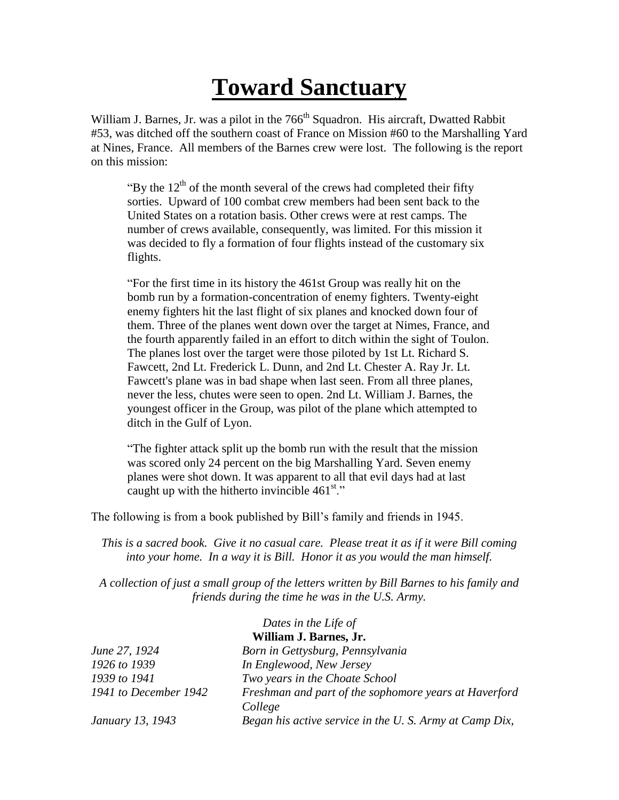## **Toward Sanctuary**

William J. Barnes, Jr. was a pilot in the 766<sup>th</sup> Squadron. His aircraft, Dwatted Rabbit #53, was ditched off the southern coast of France on Mission #60 to the Marshalling Yard at Nines, France. All members of the Barnes crew were lost. The following is the report on this mission:

"By the  $12<sup>th</sup>$  of the month several of the crews had completed their fifty sorties. Upward of 100 combat crew members had been sent back to the United States on a rotation basis. Other crews were at rest camps. The number of crews available, consequently, was limited. For this mission it was decided to fly a formation of four flights instead of the customary six flights.

"For the first time in its history the 461st Group was really hit on the bomb run by a formation-concentration of enemy fighters. Twenty-eight enemy fighters hit the last flight of six planes and knocked down four of them. Three of the planes went down over the target at Nimes, France, and the fourth apparently failed in an effort to ditch within the sight of Toulon. The planes lost over the target were those piloted by 1st Lt. Richard S. Fawcett, 2nd Lt. Frederick L. Dunn, and 2nd Lt. Chester A. Ray Jr. Lt. Fawcett's plane was in bad shape when last seen. From all three planes, never the less, chutes were seen to open. 2nd Lt. William J. Barnes, the youngest officer in the Group, was pilot of the plane which attempted to ditch in the Gulf of Lyon.

"The fighter attack split up the bomb run with the result that the mission was scored only 24 percent on the big Marshalling Yard. Seven enemy planes were shot down. It was apparent to all that evil days had at last caught up with the hitherto invincible  $461<sup>st</sup>$ ."

The following is from a book published by Bill's family and friends in 1945.

*This is a sacred book. Give it no casual care. Please treat it as if it were Bill coming into your home. In a way it is Bill. Honor it as you would the man himself.*

*A collection of just a small group of the letters written by Bill Barnes to his family and friends during the time he was in the U.S. Army.*

|                        | Dates in the Life of                                              |  |
|------------------------|-------------------------------------------------------------------|--|
| William J. Barnes, Jr. |                                                                   |  |
| June 27, 1924          | Born in Gettysburg, Pennsylvania                                  |  |
| 1926 to 1939           | In Englewood, New Jersey                                          |  |
| 1939 to 1941           | Two years in the Choate School                                    |  |
| 1941 to December 1942  | Freshman and part of the sophomore years at Haverford             |  |
| January 13, 1943       | College<br>Began his active service in the U.S. Army at Camp Dix, |  |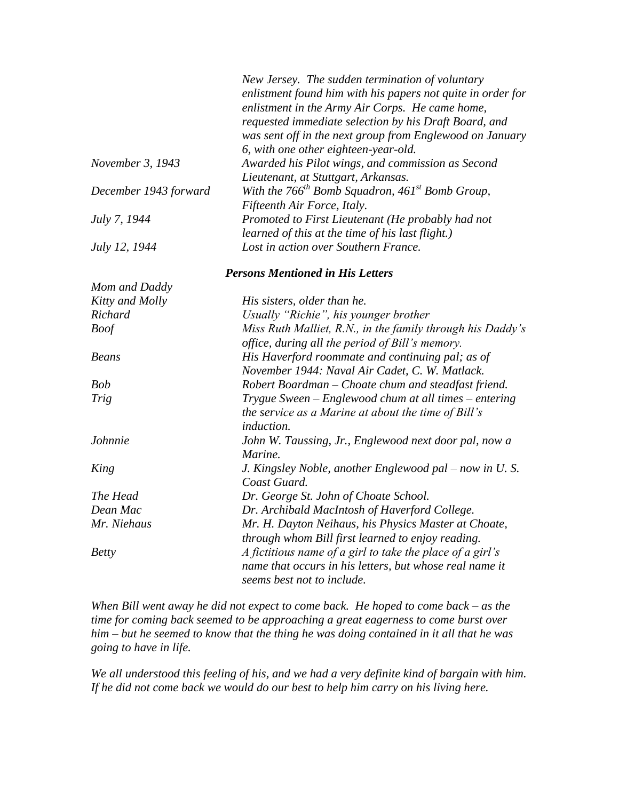|                       | New Jersey. The sudden termination of voluntary<br>enlistment found him with his papers not quite in order for<br>enlistment in the Army Air Corps. He came home,<br>requested immediate selection by his Draft Board, and<br>was sent off in the next group from Englewood on January<br>6, with one other eighteen-year-old. |
|-----------------------|--------------------------------------------------------------------------------------------------------------------------------------------------------------------------------------------------------------------------------------------------------------------------------------------------------------------------------|
| November 3, 1943      | Awarded his Pilot wings, and commission as Second                                                                                                                                                                                                                                                                              |
| December 1943 forward | Lieutenant, at Stuttgart, Arkansas.<br>With the $766^{th}$ Bomb Squadron, $461^{st}$ Bomb Group,<br>Fifteenth Air Force, Italy.                                                                                                                                                                                                |
| July 7, 1944          | Promoted to First Lieutenant (He probably had not<br>learned of this at the time of his last flight.)                                                                                                                                                                                                                          |
| July 12, 1944         | Lost in action over Southern France.                                                                                                                                                                                                                                                                                           |
|                       | <b>Persons Mentioned in His Letters</b>                                                                                                                                                                                                                                                                                        |
| Mom and Daddy         |                                                                                                                                                                                                                                                                                                                                |
| Kitty and Molly       | His sisters, older than he.                                                                                                                                                                                                                                                                                                    |
| Richard               | Usually "Richie", his younger brother                                                                                                                                                                                                                                                                                          |
| <b>Boof</b>           | Miss Ruth Malliet, R.N., in the family through his Daddy's<br>office, during all the period of Bill's memory.                                                                                                                                                                                                                  |
| <b>Beans</b>          | His Haverford roommate and continuing pal; as of<br>November 1944: Naval Air Cadet, C. W. Matlack.                                                                                                                                                                                                                             |
| <b>Bob</b>            | Robert Boardman – Choate chum and steadfast friend.                                                                                                                                                                                                                                                                            |
| <b>Trig</b>           | Trygue Sween – Englewood chum at all times – entering<br>the service as a Marine at about the time of Bill's<br>induction.                                                                                                                                                                                                     |
| Johnnie               | John W. Taussing, Jr., Englewood next door pal, now a<br>Marine.                                                                                                                                                                                                                                                               |
| King                  | J. Kingsley Noble, another Englewood pal - now in U.S.<br>Coast Guard.                                                                                                                                                                                                                                                         |
| The Head              | Dr. George St. John of Choate School.                                                                                                                                                                                                                                                                                          |
| Dean Mac              | Dr. Archibald MacIntosh of Haverford College.                                                                                                                                                                                                                                                                                  |
| Mr. Niehaus           | Mr. H. Dayton Neihaus, his Physics Master at Choate,<br>through whom Bill first learned to enjoy reading.                                                                                                                                                                                                                      |
| <b>Betty</b>          | A fictitious name of a girl to take the place of a girl's<br>name that occurs in his letters, but whose real name it<br>seems best not to include.                                                                                                                                                                             |

*When Bill went away he did not expect to come back. He hoped to come back – as the time for coming back seemed to be approaching a great eagerness to come burst over him – but he seemed to know that the thing he was doing contained in it all that he was going to have in life.*

*We all understood this feeling of his, and we had a very definite kind of bargain with him. If he did not come back we would do our best to help him carry on his living here.*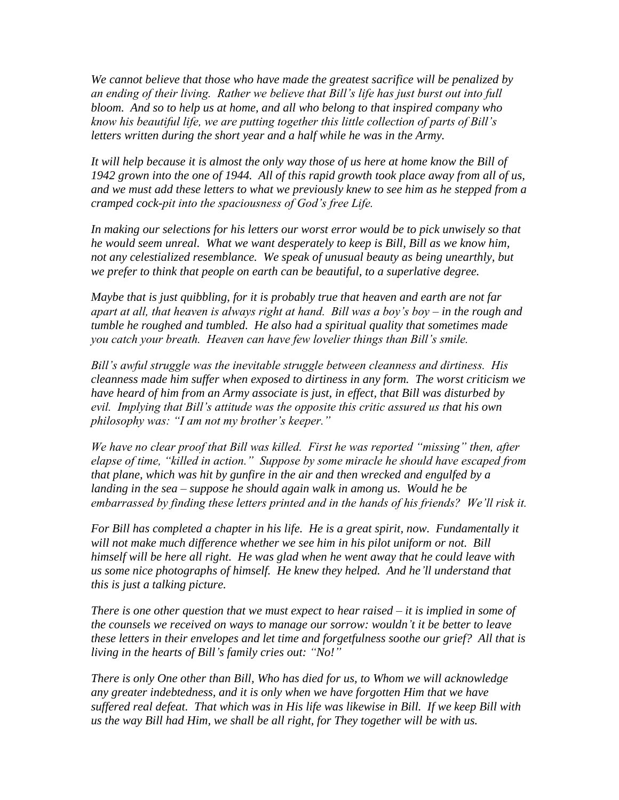*We cannot believe that those who have made the greatest sacrifice will be penalized by an ending of their living. Rather we believe that Bill's life has just burst out into full bloom. And so to help us at home, and all who belong to that inspired company who know his beautiful life, we are putting together this little collection of parts of Bill's letters written during the short year and a half while he was in the Army.*

*It will help because it is almost the only way those of us here at home know the Bill of 1942 grown into the one of 1944. All of this rapid growth took place away from all of us, and we must add these letters to what we previously knew to see him as he stepped from a cramped cock-pit into the spaciousness of God's free Life.*

*In making our selections for his letters our worst error would be to pick unwisely so that he would seem unreal. What we want desperately to keep is Bill, Bill as we know him, not any celestialized resemblance. We speak of unusual beauty as being unearthly, but we prefer to think that people on earth can be beautiful, to a superlative degree.*

*Maybe that is just quibbling, for it is probably true that heaven and earth are not far apart at all, that heaven is always right at hand. Bill was a boy's boy – in the rough and tumble he roughed and tumbled. He also had a spiritual quality that sometimes made you catch your breath. Heaven can have few lovelier things than Bill's smile.*

*Bill's awful struggle was the inevitable struggle between cleanness and dirtiness. His cleanness made him suffer when exposed to dirtiness in any form. The worst criticism we have heard of him from an Army associate is just, in effect, that Bill was disturbed by evil. Implying that Bill's attitude was the opposite this critic assured us that his own philosophy was: "I am not my brother's keeper."*

*We have no clear proof that Bill was killed. First he was reported "missing" then, after elapse of time, "killed in action." Suppose by some miracle he should have escaped from that plane, which was hit by gunfire in the air and then wrecked and engulfed by a landing in the sea – suppose he should again walk in among us. Would he be embarrassed by finding these letters printed and in the hands of his friends? We'll risk it.*

*For Bill has completed a chapter in his life. He is a great spirit, now. Fundamentally it will not make much difference whether we see him in his pilot uniform or not. Bill himself will be here all right. He was glad when he went away that he could leave with us some nice photographs of himself. He knew they helped. And he'll understand that this is just a talking picture.*

*There is one other question that we must expect to hear raised – it is implied in some of the counsels we received on ways to manage our sorrow: wouldn't it be better to leave these letters in their envelopes and let time and forgetfulness soothe our grief? All that is living in the hearts of Bill's family cries out: "No!"*

*There is only One other than Bill, Who has died for us, to Whom we will acknowledge any greater indebtedness, and it is only when we have forgotten Him that we have suffered real defeat. That which was in His life was likewise in Bill. If we keep Bill with us the way Bill had Him, we shall be all right, for They together will be with us.*